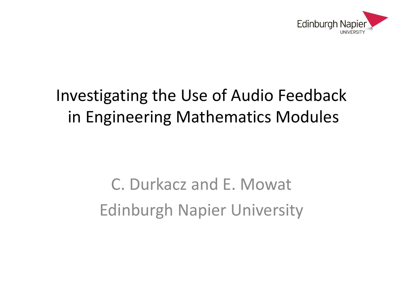

#### Investigating the Use of Audio Feedback in Engineering Mathematics Modules

C. Durkacz and E. Mowat Edinburgh Napier University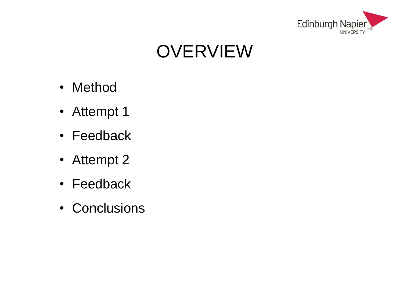

## **OVERVIEW**

- Method
- Attempt 1
- Feedback
- Attempt 2
- Feedback
- Conclusions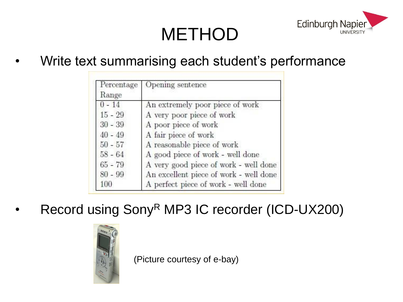

## **METHOD**

Write text summarising each student's performance

| Percentage<br>Range | Opening sentence<br>An extremely poor piece of work |  |
|---------------------|-----------------------------------------------------|--|
| $0 - 14$            |                                                     |  |
| $15 - 29$           | A very poor piece of work                           |  |
| $30 - 39$           | A poor piece of work                                |  |
| $40 - 49$           | A fair piece of work                                |  |
| $50 - 57$           | A reasonable piece of work                          |  |
| $58 - 64$           | A good piece of work - well done                    |  |
| $65 - 79$           | A very good piece of work - well done               |  |
| $80 - 99$           | An excellent piece of work - well done              |  |
| 100                 | A perfect piece of work - well done                 |  |

Record using Sony<sup>R</sup> MP3 IC recorder (ICD-UX200)



(Picture courtesy of e-bay)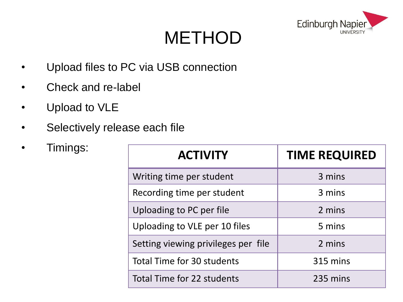

#### **METHOD**

- Upload files to PC via USB connection
- Check and re-label
- Upload to VLE
- Selectively release each file
- 

| Timings:<br>$\bullet$ |                                     |                      |  |
|-----------------------|-------------------------------------|----------------------|--|
|                       | <b>ACTIVITY</b>                     | <b>TIME REQUIRED</b> |  |
|                       | Writing time per student            | 3 mins               |  |
|                       | Recording time per student          | 3 mins               |  |
|                       | Uploading to PC per file            | 2 mins               |  |
|                       | Uploading to VLE per 10 files       | 5 mins               |  |
|                       | Setting viewing privileges per file | 2 mins               |  |
|                       | Total Time for 30 students          | 315 mins             |  |
|                       | Total Time for 22 students          | 235 mins             |  |
|                       |                                     |                      |  |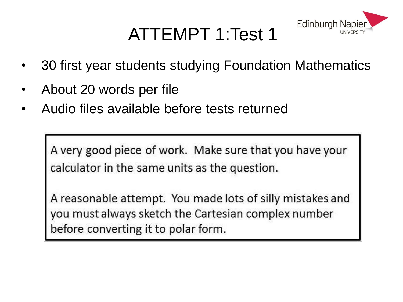## ATTEMPT 1:Test 1



- 30 first year students studying Foundation Mathematics
- About 20 words per file
- Audio files available before tests returned

A very good piece of work. Make sure that you have your calculator in the same units as the question.

A reasonable attempt. You made lots of silly mistakes and you must always sketch the Cartesian complex number before converting it to polar form.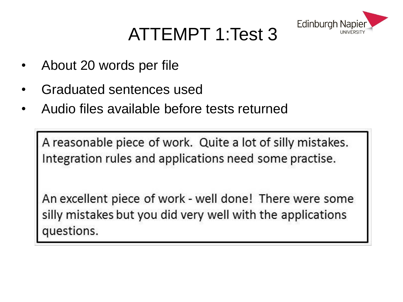

## ATTEMPT 1:Test 3

- About 20 words per file
- Graduated sentences used
- Audio files available before tests returned

A reasonable piece of work. Quite a lot of silly mistakes. Integration rules and applications need some practise.

An excellent piece of work - well done! There were some silly mistakes but you did very well with the applications questions.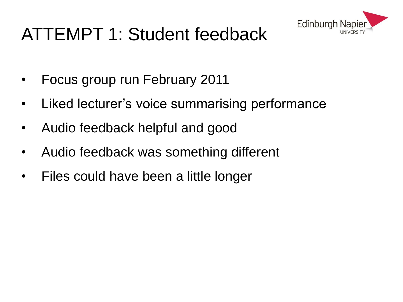

### ATTEMPT 1: Student feedback

- Focus group run February 2011
- Liked lecturer's voice summarising performance
- Audio feedback helpful and good
- Audio feedback was something different
- Files could have been a little longer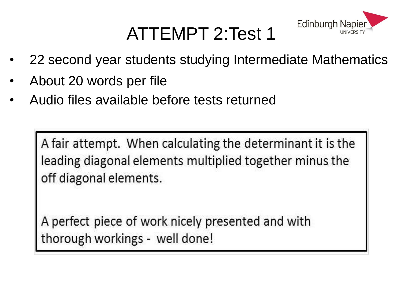## ATTEMPT 2:Test 1



- 22 second year students studying Intermediate Mathematics
- About 20 words per file
- Audio files available before tests returned

A fair attempt. When calculating the determinant it is the leading diagonal elements multiplied together minus the off diagonal elements.

A perfect piece of work nicely presented and with thorough workings - well done!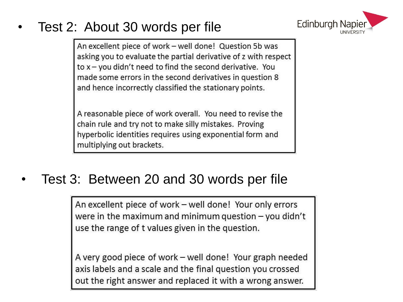#### • Test 2: About 30 words per file



An excellent piece of work – well done! Question 5b was asking you to evaluate the partial derivative of z with respect to  $x - y$  ou didn't need to find the second derivative. You made some errors in the second derivatives in question 8 and hence incorrectly classified the stationary points.

A reasonable piece of work overall. You need to revise the chain rule and try not to make silly mistakes. Proving hyperbolic identities requires using exponential form and multiplying out brackets.

#### • Test 3: Between 20 and 30 words per file

An excellent piece of work – well done! Your only errors were in the maximum and minimum question  $-$  you didn't use the range of t values given in the question.

A very good piece of work – well done! Your graph needed axis labels and a scale and the final question you crossed out the right answer and replaced it with a wrong answer.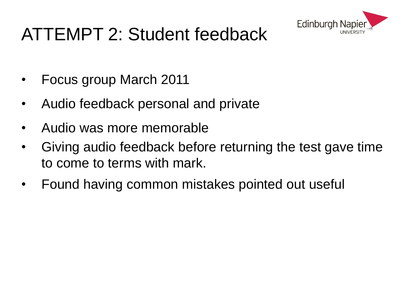

## ATTEMPT 2: Student feedback

- Focus group March 2011
- Audio feedback personal and private
- Audio was more memorable
- Giving audio feedback before returning the test gave time to come to terms with mark.
- Found having common mistakes pointed out useful